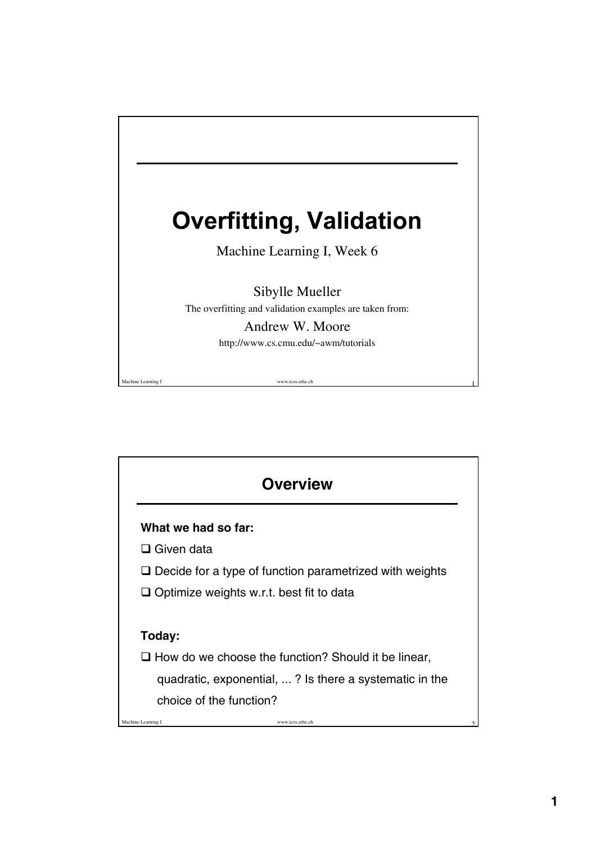

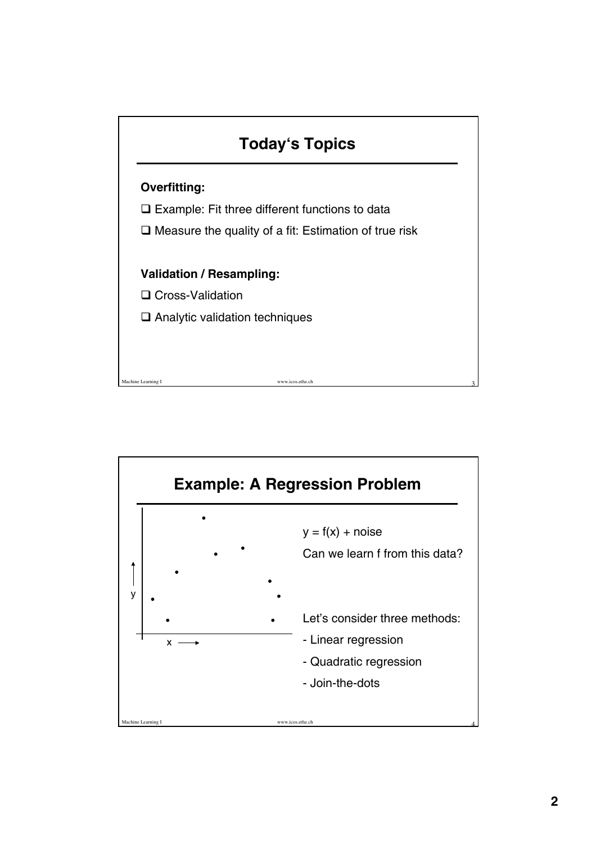

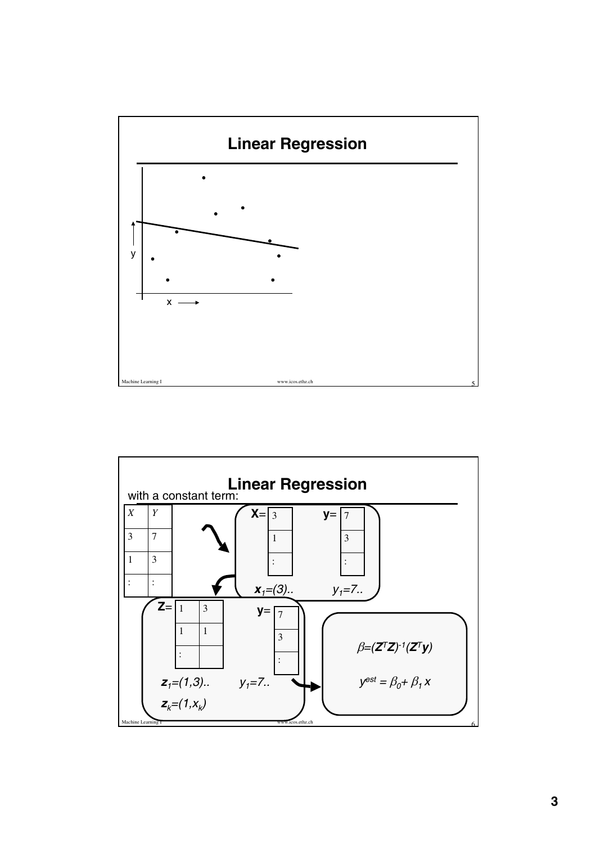

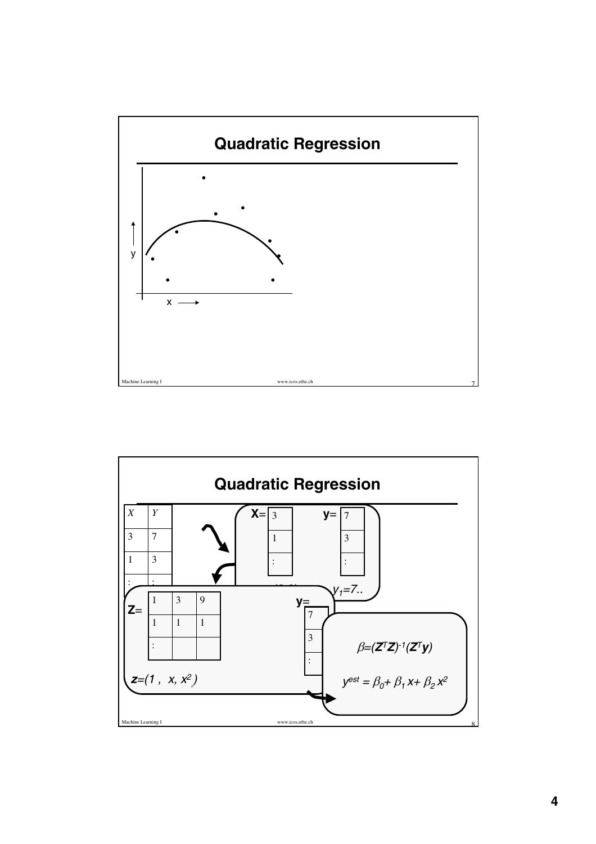

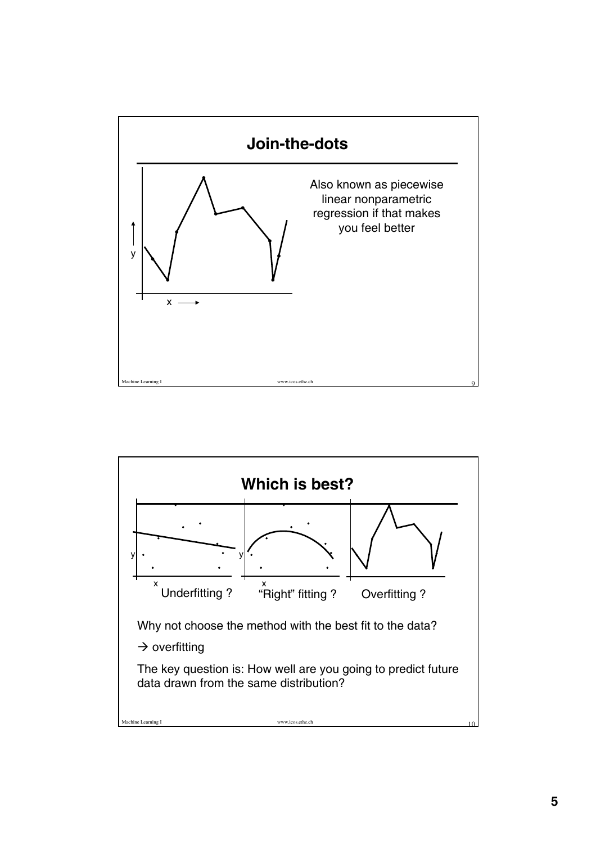

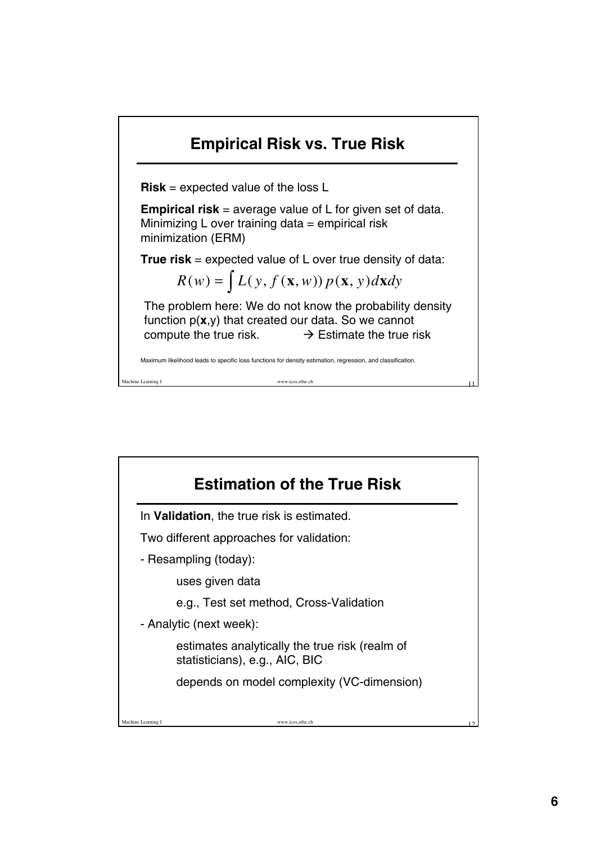

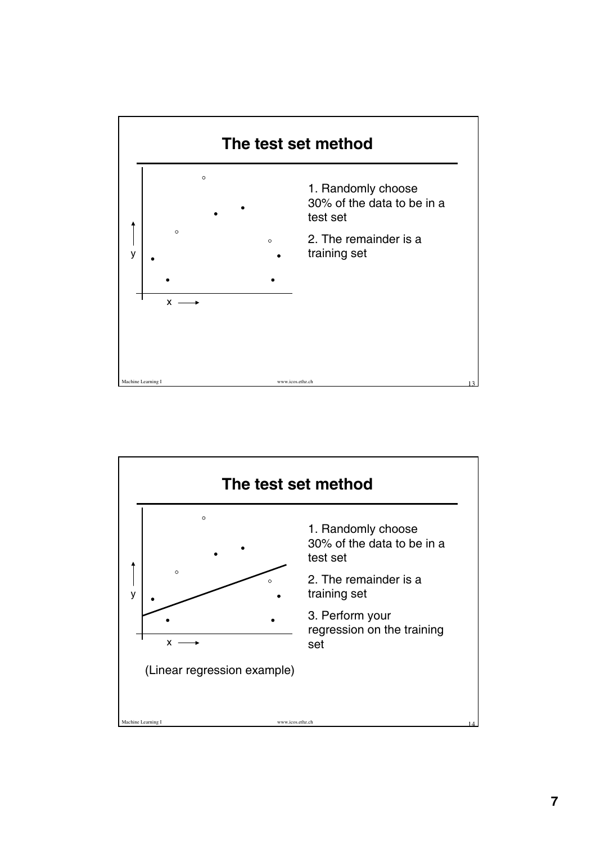

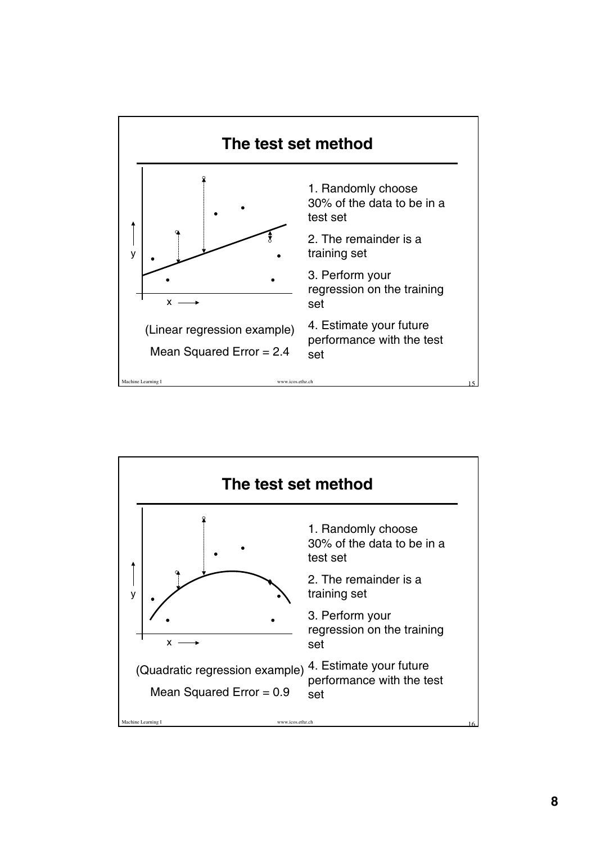

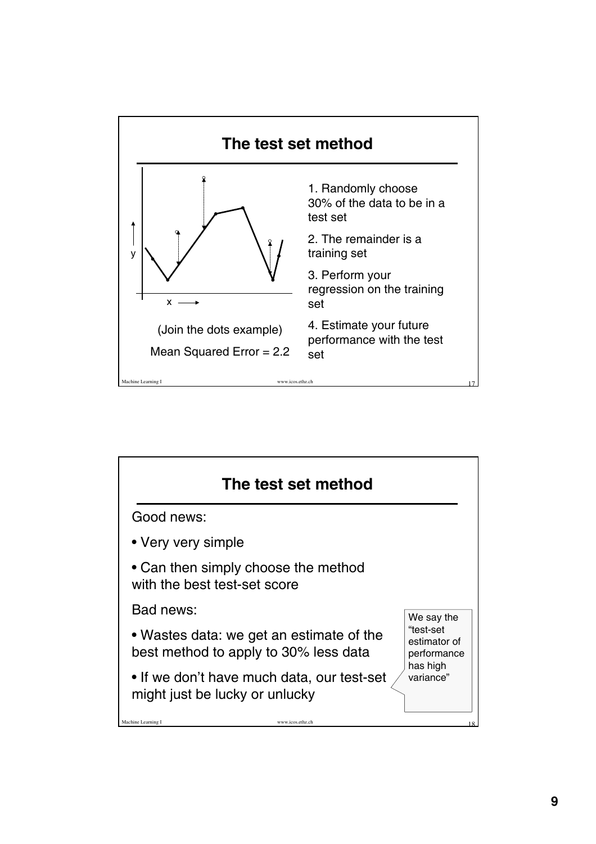

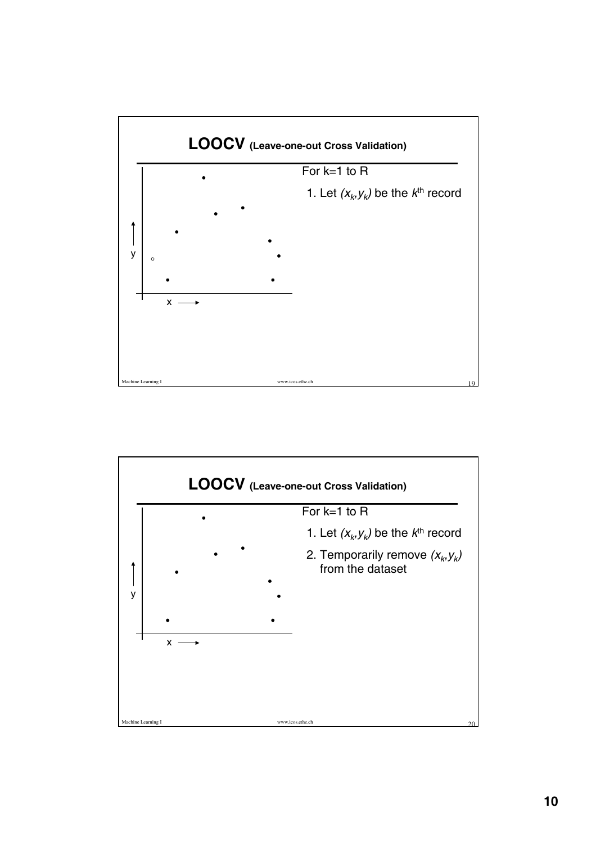

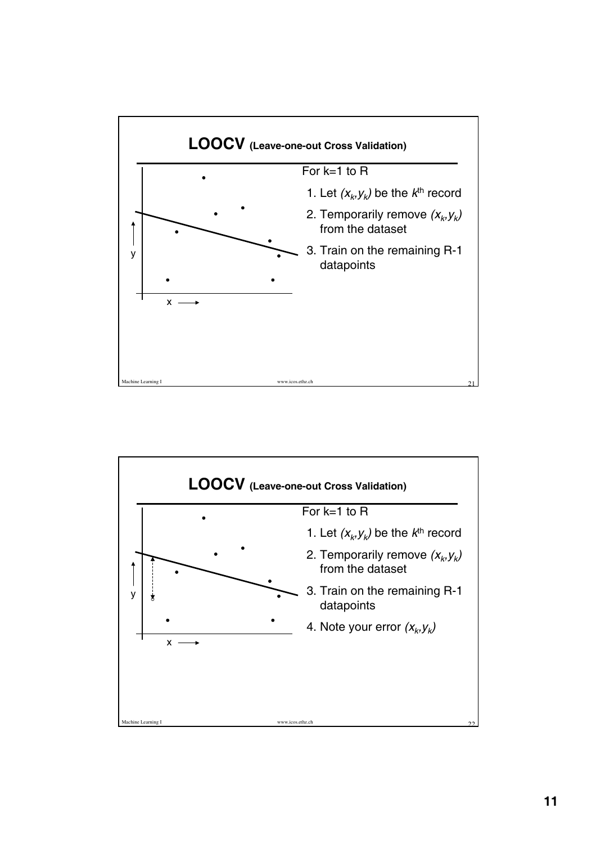

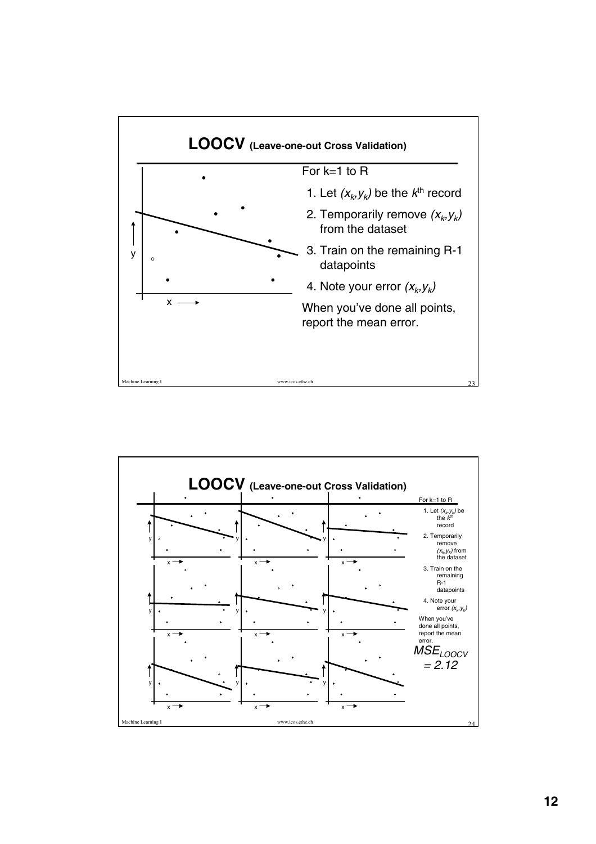

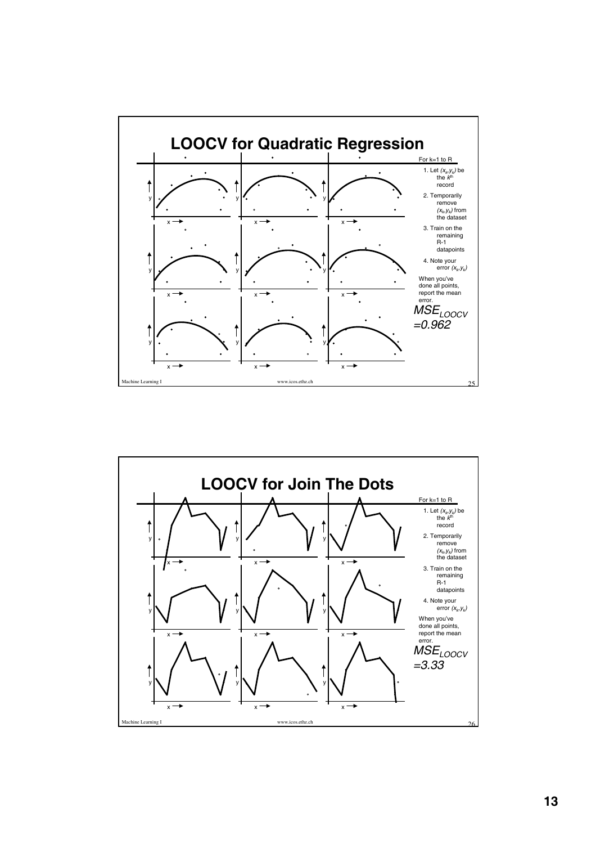

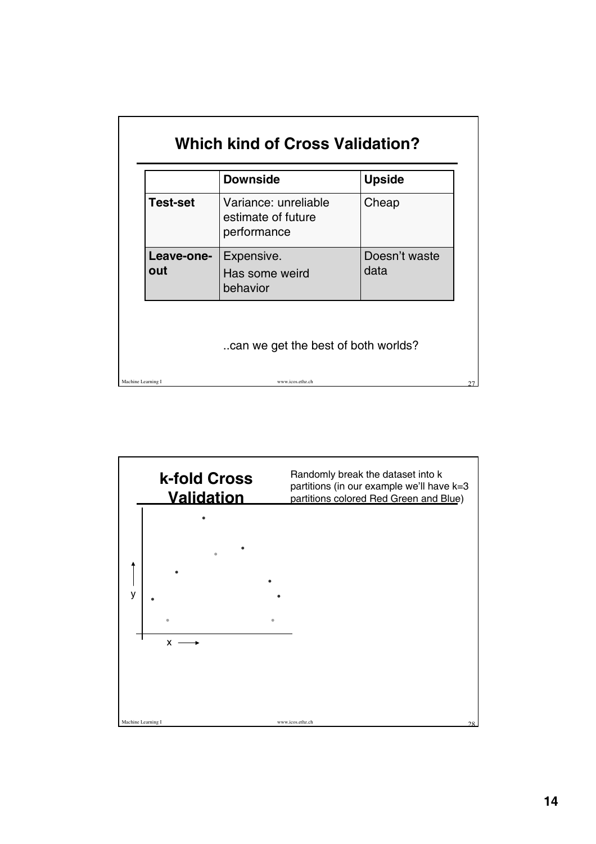|                    | <b>Downside</b>                                           | <b>Upside</b>         |
|--------------------|-----------------------------------------------------------|-----------------------|
| <b>Test-set</b>    | Variance: unreliable<br>estimate of future<br>performance | Cheap                 |
| Leave-one-<br>out  | Expensive.<br>Has some weird<br>behavior                  | Doesn't waste<br>data |
|                    | can we get the best of both worlds?                       |                       |
| Machine Learning I | www.icos.ethz.ch                                          |                       |

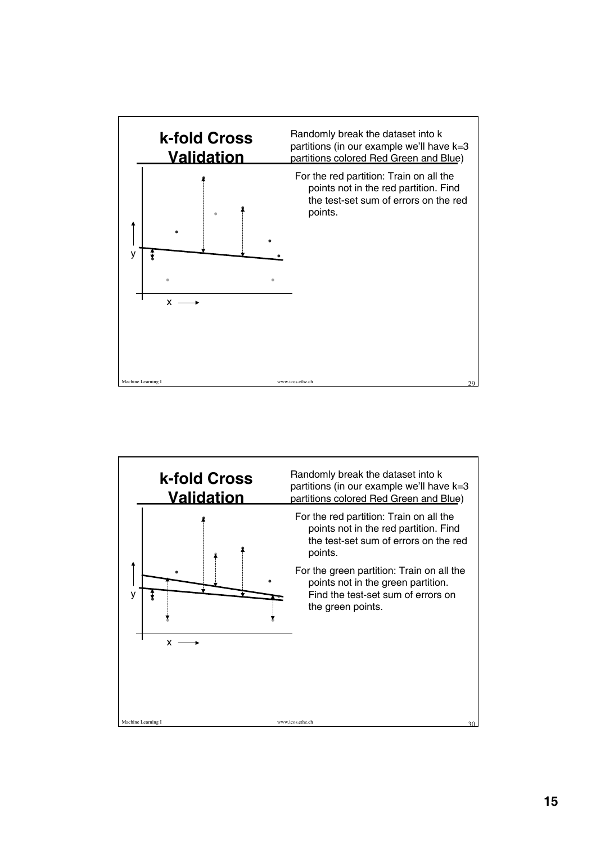

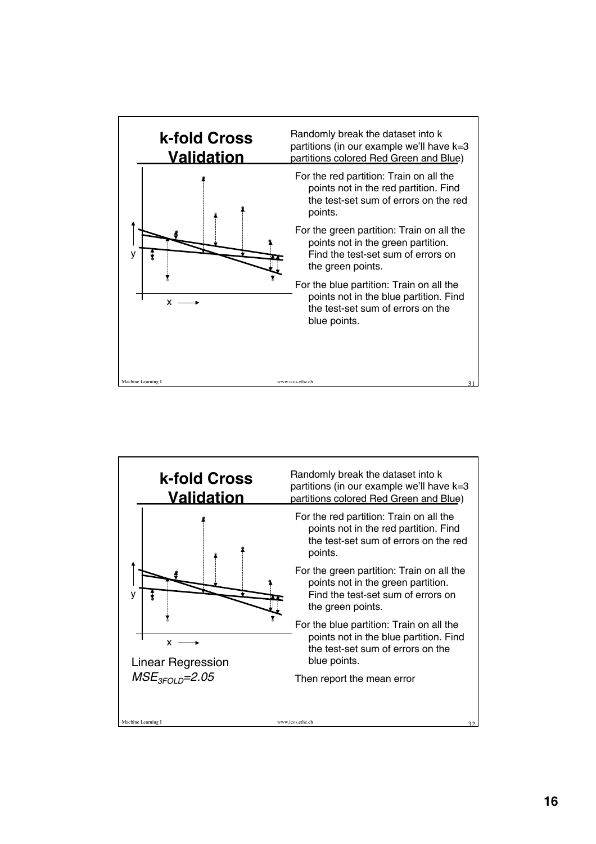

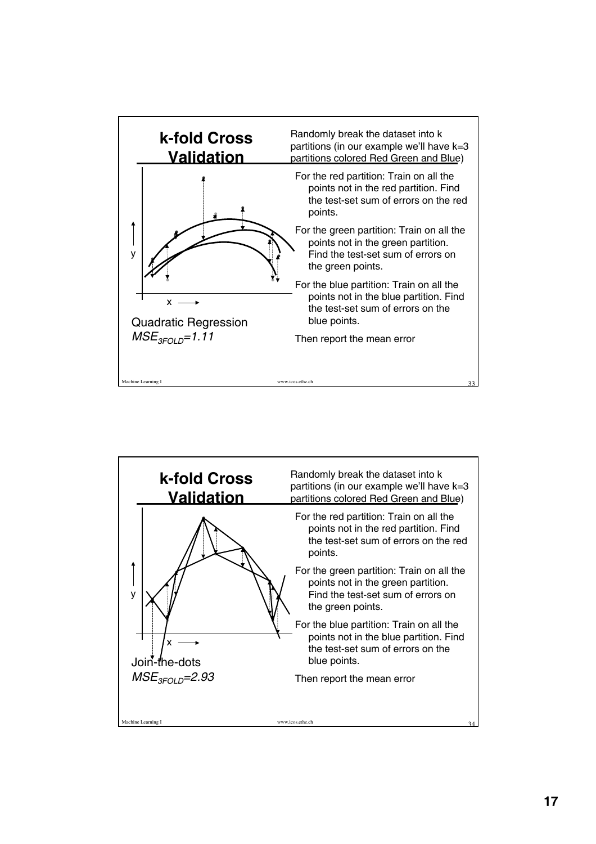